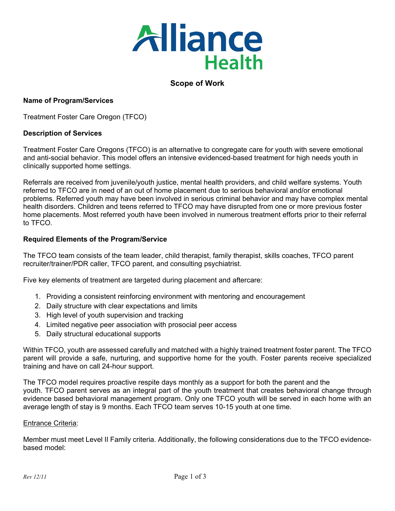

# **Scope of Work**

# **Name of Program/Services**

Treatment Foster Care Oregon (TFCO)

## **Description of Services**

Treatment Foster Care Oregons (TFCO) is an alternative to congregate care for youth with severe emotional and anti-social behavior. This model offers an intensive evidenced-based treatment for high needs youth in clinically supported home settings.

Referrals are received from juvenile/youth justice, mental health providers, and child welfare systems. Youth referred to TFCO are in need of an out of home placement due to serious behavioral and/or emotional problems. Referred youth may have been involved in serious criminal behavior and may have complex mental health disorders. Children and teens referred to TFCO may have disrupted from one or more previous foster home placements. Most referred youth have been involved in numerous treatment efforts prior to their referral to TFCO.

## **Required Elements of the Program/Service**

The TFCO team consists of the team leader, child therapist, family therapist, skills coaches, TFCO parent recruiter/trainer/PDR caller, TFCO parent, and consulting psychiatrist.

Five key elements of treatment are targeted during placement and aftercare:

- 1. Providing a consistent reinforcing environment with mentoring and encouragement
- 2. Daily structure with clear expectations and limits
- 3. High level of youth supervision and tracking
- 4. Limited negative peer association with prosocial peer access
- 5. Daily structural educational supports

Within TFCO, youth are assessed carefully and matched with a highly trained treatment foster parent. The TFCO parent will provide a safe, nurturing, and supportive home for the youth. Foster parents receive specialized training and have on call 24-hour support.

The TFCO model requires proactive respite days monthly as a support for both the parent and the youth. TFCO parent serves as an integral part of the youth treatment that creates behavioral change through evidence based behavioral management program. Only one TFCO youth will be served in each home with an average length of stay is 9 months. Each TFCO team serves 10-15 youth at one time.

## Entrance Criteria:

Member must meet Level II Family criteria. Additionally, the following considerations due to the TFCO evidencebased model: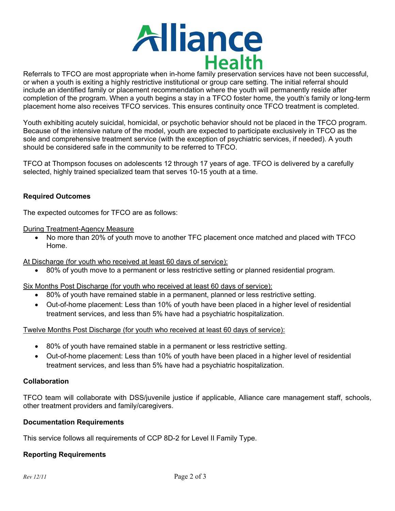

Referrals to TFCO are most appropriate when in-home family preservation services have not been successful, or when a youth is exiting a highly restrictive institutional or group care setting. The initial referral should include an identified family or placement recommendation where the youth will permanently reside after completion of the program. When a youth begins a stay in a TFCO foster home, the youth's family or long-term placement home also receives TFCO services. This ensures continuity once TFCO treatment is completed.

Youth exhibiting acutely suicidal, homicidal, or psychotic behavior should not be placed in the TFCO program. Because of the intensive nature of the model, youth are expected to participate exclusively in TFCO as the sole and comprehensive treatment service (with the exception of psychiatric services, if needed). A youth should be considered safe in the community to be referred to TFCO.

TFCO at Thompson focuses on adolescents 12 through 17 years of age. TFCO is delivered by a carefully selected, highly trained specialized team that serves 10-15 youth at a time.

# **Required Outcomes**

The expected outcomes for TFCO are as follows:

## During Treatment-Agency Measure

• No more than 20% of youth move to another TFC placement once matched and placed with TFCO Home.

At Discharge (for youth who received at least 60 days of service):

• 80% of youth move to a permanent or less restrictive setting or planned residential program.

Six Months Post Discharge (for youth who received at least 60 days of service):

- 80% of youth have remained stable in a permanent, planned or less restrictive setting.
- Out-of-home placement: Less than 10% of youth have been placed in a higher level of residential treatment services, and less than 5% have had a psychiatric hospitalization.

Twelve Months Post Discharge (for youth who received at least 60 days of service):

- 80% of youth have remained stable in a permanent or less restrictive setting.
- Out-of-home placement: Less than 10% of youth have been placed in a higher level of residential treatment services, and less than 5% have had a psychiatric hospitalization.

# **Collaboration**

TFCO team will collaborate with DSS/juvenile justice if applicable, Alliance care management staff, schools, other treatment providers and family/caregivers.

# **Documentation Requirements**

This service follows all requirements of CCP 8D-2 for Level II Family Type.

# **Reporting Requirements**